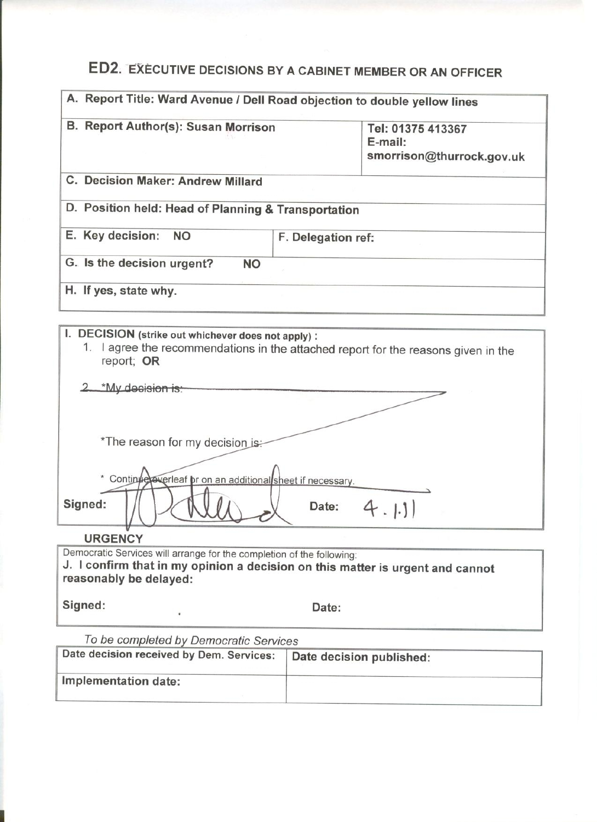# ED2. EXECUTIVE DECISIONS BY A CABINET MEMBER OR AN OFFICER

| A. Report Title: Ward Avenue / Dell Road objection to double yellow lines |  |  |
|---------------------------------------------------------------------------|--|--|
| Tel: 01375 413367<br>$E$ -mail:<br>smorrison@thurrock.gov.uk              |  |  |
| C. Decision Maker: Andrew Millard                                         |  |  |
| D. Position held: Head of Planning & Transportation                       |  |  |
| F. Delegation ref:                                                        |  |  |
|                                                                           |  |  |
|                                                                           |  |  |
|                                                                           |  |  |

| I. DECISION (strike out whichever does not apply) :                                              |
|--------------------------------------------------------------------------------------------------|
| 1. I agree the recommendations in the attached report for the reasons given in the<br>report; OR |

| *My decision is:                                           |
|------------------------------------------------------------|
|                                                            |
|                                                            |
| *The reason for my decision is:                            |
|                                                            |
| * Continue werleaf br on an additional sheet if necessary. |
| Signed:<br>Date:<br>4.1.11                                 |
| $\cdots$                                                   |

## **URGENCY**

Democratic Services will arrange for the completion of the following: J. I confirm that in my opinion a decision on this matter is urgent and cannot reasonably be delayed:

Signed:

Date:

To be completed by Democratic Services

¥

| Date decision received by Dem. Services: | Date decision published: |  |
|------------------------------------------|--------------------------|--|
| Implementation date:                     |                          |  |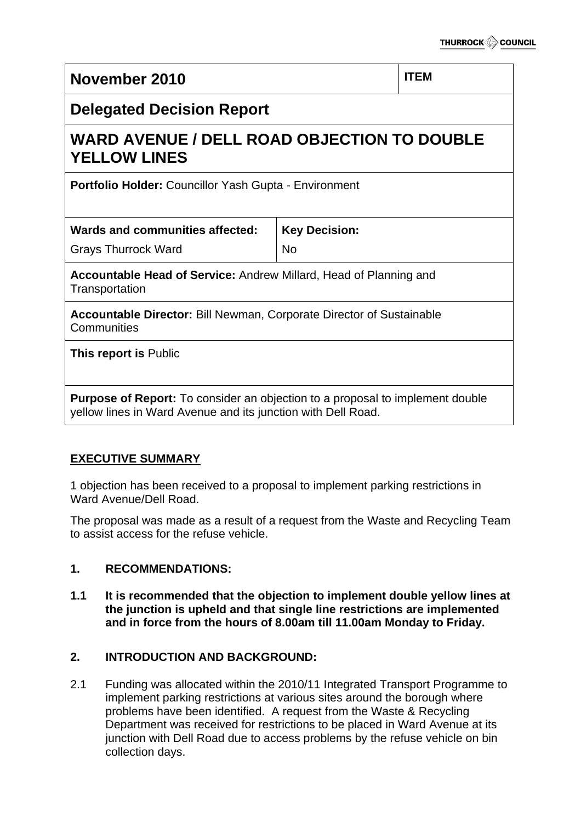| November 2010                                                                                                                                        |                      | <b>ITEM</b> |  |  |
|------------------------------------------------------------------------------------------------------------------------------------------------------|----------------------|-------------|--|--|
| <b>Delegated Decision Report</b>                                                                                                                     |                      |             |  |  |
| <b>WARD AVENUE / DELL ROAD OBJECTION TO DOUBLE</b><br><b>YELLOW LINES</b>                                                                            |                      |             |  |  |
| Portfolio Holder: Councillor Yash Gupta - Environment                                                                                                |                      |             |  |  |
| Wards and communities affected:                                                                                                                      | <b>Key Decision:</b> |             |  |  |
| <b>Grays Thurrock Ward</b>                                                                                                                           | <b>No</b>            |             |  |  |
| <b>Accountable Head of Service: Andrew Millard, Head of Planning and</b><br>Transportation                                                           |                      |             |  |  |
| <b>Accountable Director: Bill Newman, Corporate Director of Sustainable</b><br>Communities                                                           |                      |             |  |  |
| This report is Public                                                                                                                                |                      |             |  |  |
| <b>Purpose of Report:</b> To consider an objection to a proposal to implement double<br>yellow lines in Ward Avenue and its junction with Dell Road. |                      |             |  |  |

# **EXECUTIVE SUMMARY**

1 objection has been received to a proposal to implement parking restrictions in Ward Avenue/Dell Road.

The proposal was made as a result of a request from the Waste and Recycling Team to assist access for the refuse vehicle.

# **1. RECOMMENDATIONS:**

**1.1 It is recommended that the objection to implement double yellow lines at the junction is upheld and that single line restrictions are implemented and in force from the hours of 8.00am till 11.00am Monday to Friday.** 

# **2. INTRODUCTION AND BACKGROUND:**

2.1 Funding was allocated within the 2010/11 Integrated Transport Programme to implement parking restrictions at various sites around the borough where problems have been identified. A request from the Waste & Recycling Department was received for restrictions to be placed in Ward Avenue at its junction with Dell Road due to access problems by the refuse vehicle on bin collection days.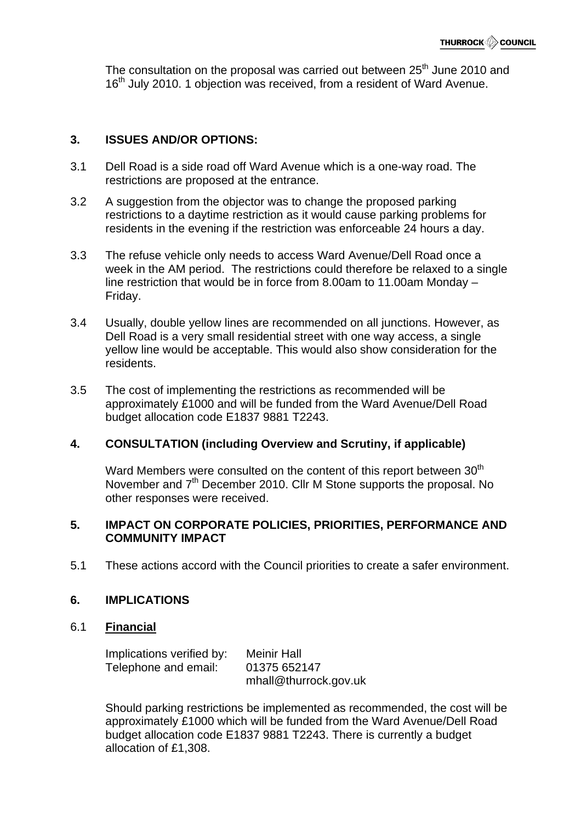The consultation on the proposal was carried out between  $25<sup>th</sup>$  June 2010 and 16<sup>th</sup> July 2010, 1 objection was received, from a resident of Ward Avenue.

## **3. ISSUES AND/OR OPTIONS:**

- 3.1 Dell Road is a side road off Ward Avenue which is a one-way road. The restrictions are proposed at the entrance.
- 3.2 A suggestion from the objector was to change the proposed parking restrictions to a daytime restriction as it would cause parking problems for residents in the evening if the restriction was enforceable 24 hours a day.
- 3.3 The refuse vehicle only needs to access Ward Avenue/Dell Road once a week in the AM period. The restrictions could therefore be relaxed to a single line restriction that would be in force from 8.00am to 11.00am Monday – Friday.
- 3.4 Usually, double yellow lines are recommended on all junctions. However, as Dell Road is a very small residential street with one way access, a single yellow line would be acceptable. This would also show consideration for the residents.
- 3.5 The cost of implementing the restrictions as recommended will be approximately £1000 and will be funded from the Ward Avenue/Dell Road budget allocation code E1837 9881 T2243.

## **4. CONSULTATION (including Overview and Scrutiny, if applicable)**

Ward Members were consulted on the content of this report between 30<sup>th</sup> November and 7<sup>th</sup> December 2010. Cllr M Stone supports the proposal. No other responses were received.

## **5. IMPACT ON CORPORATE POLICIES, PRIORITIES, PERFORMANCE AND COMMUNITY IMPACT**

5.1 These actions accord with the Council priorities to create a safer environment.

## **6. IMPLICATIONS**

#### 6.1 **Financial**

Implications verified by: Meinir Hall Telephone and email: 01375 652147 mhall@thurrock.gov.uk

Should parking restrictions be implemented as recommended, the cost will be approximately £1000 which will be funded from the Ward Avenue/Dell Road budget allocation code E1837 9881 T2243. There is currently a budget allocation of £1,308.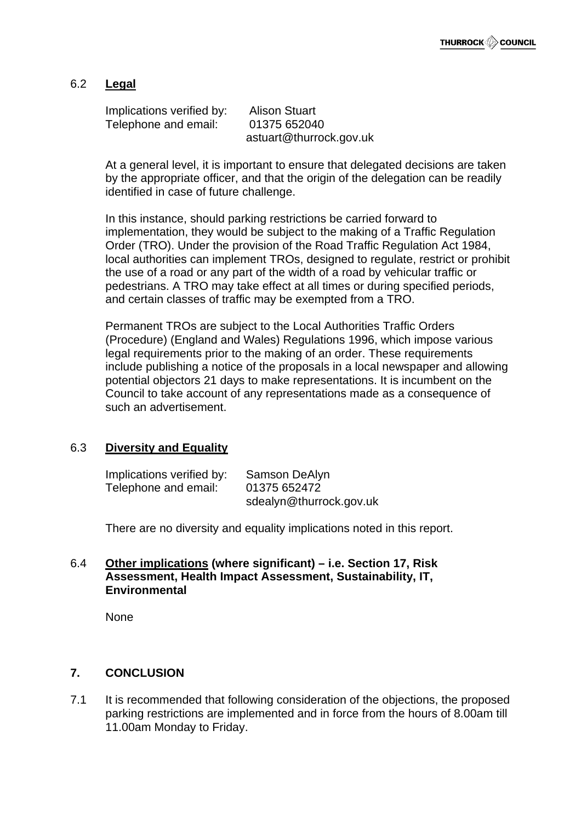## 6.2 **Legal**

Implications verified by: Alison Stuart Telephone and email: 01375 652040 astuart@thurrock.gov.uk

At a general level, it is important to ensure that delegated decisions are taken by the appropriate officer, and that the origin of the delegation can be readily identified in case of future challenge.

In this instance, should parking restrictions be carried forward to implementation, they would be subject to the making of a Traffic Regulation Order (TRO). Under the provision of the Road Traffic Regulation Act 1984, local authorities can implement TROs, designed to regulate, restrict or prohibit the use of a road or any part of the width of a road by vehicular traffic or pedestrians. A TRO may take effect at all times or during specified periods, and certain classes of traffic may be exempted from a TRO.

Permanent TROs are subject to the Local Authorities Traffic Orders (Procedure) (England and Wales) Regulations 1996, which impose various legal requirements prior to the making of an order. These requirements include publishing a notice of the proposals in a local newspaper and allowing potential objectors 21 days to make representations. It is incumbent on the Council to take account of any representations made as a consequence of such an advertisement.

## 6.3 **Diversity and Equality**

| Implications verified by: | Samson DeAlyn           |
|---------------------------|-------------------------|
| Telephone and email:      | 01375 652472            |
|                           | sdealyn@thurrock.gov.uk |

There are no diversity and equality implications noted in this report.

#### 6.4 **Other implications (where significant) – i.e. Section 17, Risk Assessment, Health Impact Assessment, Sustainability, IT, Environmental**

None

## **7. CONCLUSION**

7.1 It is recommended that following consideration of the objections, the proposed parking restrictions are implemented and in force from the hours of 8.00am till 11.00am Monday to Friday.